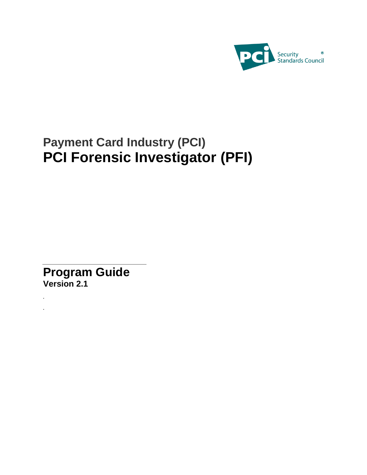

# **Payment Card Industry (PCI) PCI Forensic Investigator (PFI)**

**Program Guide Version 2.1**

*. .*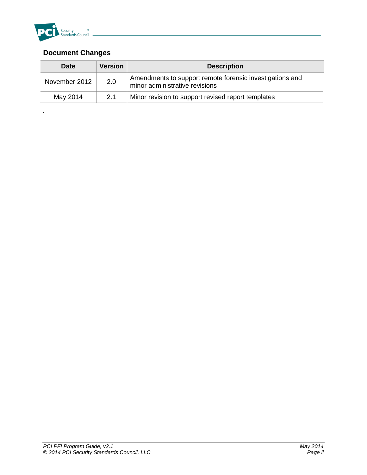

*.*

#### **Document Changes**

| <b>Date</b>   | <b>Version</b> | <b>Description</b>                                                                         |
|---------------|----------------|--------------------------------------------------------------------------------------------|
| November 2012 | 2.0            | Amendments to support remote forensic investigations and<br>minor administrative revisions |
| May 2014      | 2.1            | Minor revision to support revised report templates                                         |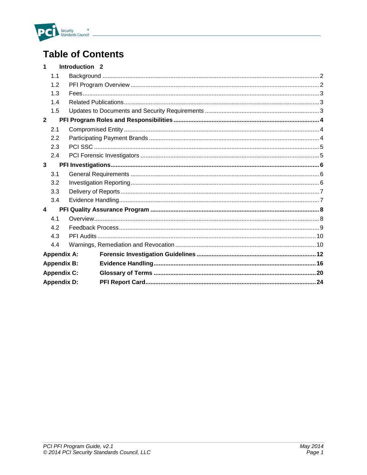

## **Table of Contents**

| $\blacktriangleleft$    |                    | Introduction <sub>2</sub> |  |
|-------------------------|--------------------|---------------------------|--|
|                         | 1.1                |                           |  |
|                         | 1.2                |                           |  |
|                         | 1.3                |                           |  |
|                         | 1.4                |                           |  |
|                         | 1.5                |                           |  |
| $\overline{2}$          |                    |                           |  |
|                         | 2.1                |                           |  |
|                         | 2.2                |                           |  |
|                         | 2.3                |                           |  |
|                         | 2.4                |                           |  |
| 3                       |                    |                           |  |
|                         | 3.1                |                           |  |
|                         | 3.2                |                           |  |
|                         | 3.3                |                           |  |
|                         | 3.4                |                           |  |
| $\overline{\mathbf{4}}$ |                    |                           |  |
|                         | 4.1                |                           |  |
|                         | 4.2                |                           |  |
|                         | 4.3                |                           |  |
|                         | 4.4                |                           |  |
|                         | <b>Appendix A:</b> |                           |  |
|                         | <b>Appendix B:</b> |                           |  |
|                         | <b>Appendix C:</b> |                           |  |
| <b>Appendix D:</b>      |                    |                           |  |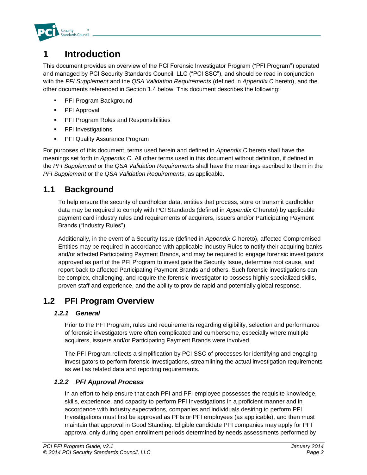

## **1 Introduction**

This document provides an overview of the PCI Forensic Investigator Program ("PFI Program") operated and managed by PCI Security Standards Council, LLC ("PCI SSC"), and should be read in conjunction with the *PFI Supplement* and the *QSA Validation Requirements* (defined in *Appendix C* hereto), and the other documents referenced in Section 1.4 below. This document describes the following:

- PFI Program Background
- **PFI Approval**
- **PFI Program Roles and Responsibilities**
- **•** PFI Investigations
- PFI Quality Assurance Program

For purposes of this document, terms used herein and defined in *Appendix C* hereto shall have the meanings set forth in *Appendix C*. All other terms used in this document without definition, if defined in the *PFI Supplement* or the *QSA Validation Requirements* shall have the meanings ascribed to them in the *PFI Supplement* or the *QSA Validation Requirements*, as applicable.

### **1.1 Background**

To help ensure the security of cardholder data, entities that process, store or transmit cardholder data may be required to comply with PCI Standards (defined in *Appendix C* hereto) by applicable payment card industry rules and requirements of acquirers, issuers and/or Participating Payment Brands ("Industry Rules").

Additionally, in the event of a Security Issue (defined in *Appendix C* hereto), affected Compromised Entities may be required in accordance with applicable Industry Rules to notify their acquiring banks and/or affected Participating Payment Brands, and may be required to engage forensic investigators approved as part of the PFI Program to investigate the Security Issue, determine root cause, and report back to affected Participating Payment Brands and others. Such forensic investigations can be complex, challenging, and require the forensic investigator to possess highly specialized skills, proven staff and experience, and the ability to provide rapid and potentially global response.

### **1.2 PFI Program Overview**

#### *1.2.1 General*

Prior to the PFI Program, rules and requirements regarding eligibility, selection and performance of forensic investigators were often complicated and cumbersome, especially where multiple acquirers, issuers and/or Participating Payment Brands were involved.

The PFI Program reflects a simplification by PCI SSC of processes for identifying and engaging investigators to perform forensic investigations, streamlining the actual investigation requirements as well as related data and reporting requirements.

#### *1.2.2 PFI Approval Process*

In an effort to help ensure that each PFI and PFI employee possesses the requisite knowledge, skills, experience, and capacity to perform PFI Investigations in a proficient manner and in accordance with industry expectations, companies and individuals desiring to perform PFI Investigations must first be approved as PFIs or PFI employees (as applicable), and then must maintain that approval in Good Standing. Eligible candidate PFI companies may apply for PFI approval only during open enrollment periods determined by needs assessments performed by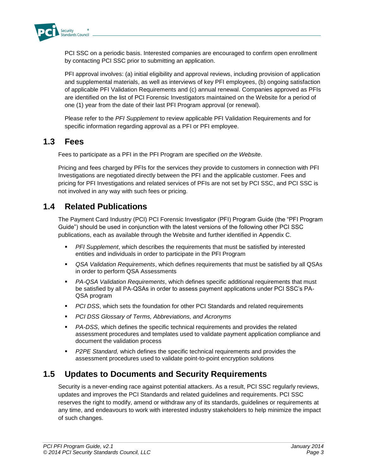

PCI SSC on a periodic basis. Interested companies are encouraged to confirm open enrollment by contacting PCI SSC prior to submitting an application.

PFI approval involves: (a) initial eligibility and approval reviews, including provision of application and supplemental materials, as well as interviews of key PFI employees, (b) ongoing satisfaction of applicable PFI Validation Requirements and (c) annual renewal. Companies approved as PFIs are identified on the list of PCI Forensic Investigators maintained on the Website for a period of one (1) year from the date of their last PFI Program approval (or renewal).

Please refer to the *PFI Supplement* to review applicable PFI Validation Requirements and for specific information regarding approval as a PFI or PFI employee.

### **1.3 Fees**

Fees to participate as a PFI in the PFI Program are specified *on the Website*.

Pricing and fees charged by PFIs for the services they provide to customers in connection with PFI Investigations are negotiated directly between the PFI and the applicable customer. Fees and pricing for PFI Investigations and related services of PFIs are not set by PCI SSC, and PCI SSC is not involved in any way with such fees or pricing.

### **1.4 Related Publications**

The Payment Card Industry (PCI) PCI Forensic Investigator (PFI) Program Guide (the "PFI Program Guide") should be used in conjunction with the latest versions of the following other PCI SSC publications, each as available through the Website and further identified in Appendix C.

- *PFI Supplement*, which describes the requirements that must be satisfied by interested entities and individuals in order to participate in the PFI Program
- *QSA Validation Requirements*, which defines requirements that must be satisfied by all QSAs in order to perform QSA Assessments
- *PA-QSA Validation Requirements*, which defines specific additional requirements that must be satisfied by all PA-QSAs in order to assess payment applications under PCI SSC's PA-QSA program
- **PCI DSS, which sets the foundation for other PCI Standards and related requirements**
- *PCI DSS Glossary of Terms, Abbreviations, and Acronyms*
- *PA-DSS*, which defines the specific technical requirements and provides the related assessment procedures and templates used to validate payment application compliance and document the validation process
- *P2PE Standard,* which defines the specific technical requirements and provides the assessment procedures used to validate point-to-point encryption solutions

### **1.5 Updates to Documents and Security Requirements**

Security is a never-ending race against potential attackers. As a result, PCI SSC regularly reviews, updates and improves the PCI Standards and related guidelines and requirements. PCI SSC reserves the right to modify, amend or withdraw any of its standards, guidelines or requirements at any time, and endeavours to work with interested industry stakeholders to help minimize the impact of such changes.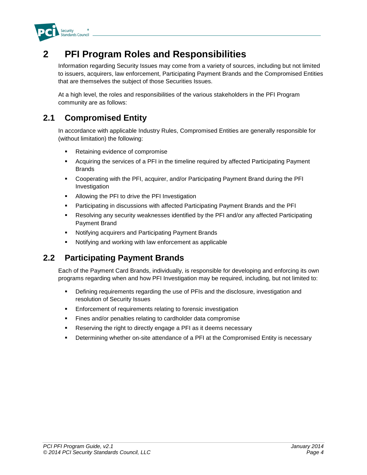

## **2 PFI Program Roles and Responsibilities**

Information regarding Security Issues may come from a variety of sources, including but not limited to issuers, acquirers, law enforcement, Participating Payment Brands and the Compromised Entities that are themselves the subject of those Securities Issues.

At a high level, the roles and responsibilities of the various stakeholders in the PFI Program community are as follows:

### **2.1 Compromised Entity**

In accordance with applicable Industry Rules, Compromised Entities are generally responsible for (without limitation) the following:

- **Retaining evidence of compromise**
- Acquiring the services of a PFI in the timeline required by affected Participating Payment Brands
- Cooperating with the PFI, acquirer, and/or Participating Payment Brand during the PFI Investigation
- **Allowing the PFI to drive the PFI Investigation**
- Participating in discussions with affected Participating Payment Brands and the PFI
- Resolving any security weaknesses identified by the PFI and/or any affected Participating Payment Brand
- Notifying acquirers and Participating Payment Brands
- Notifying and working with law enforcement as applicable

### **2.2 Participating Payment Brands**

Each of the Payment Card Brands, individually, is responsible for developing and enforcing its own programs regarding when and how PFI Investigation may be required, including, but not limited to:

- Defining requirements regarding the use of PFIs and the disclosure, investigation and resolution of Security Issues
- **Enforcement of requirements relating to forensic investigation**
- **Fines and/or penalties relating to cardholder data compromise**
- **Reserving the right to directly engage a PFI as it deems necessary**
- Determining whether on-site attendance of a PFI at the Compromised Entity is necessary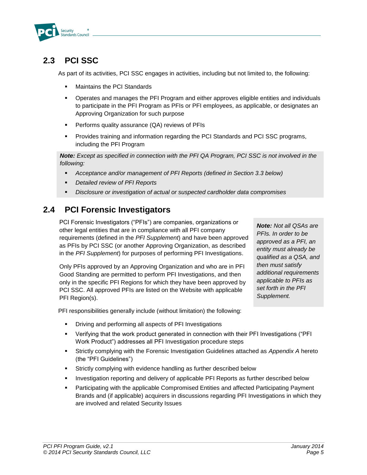

### **2.3 PCI SSC**

As part of its activities, PCI SSC engages in activities, including but not limited to, the following:

- Maintains the PCI Standards
- Operates and manages the PFI Program and either approves eligible entities and individuals to participate in the PFI Program as PFIs or PFI employees, as applicable, or designates an Approving Organization for such purpose
- **Performs quality assurance (QA) reviews of PFIs**
- Provides training and information regarding the PCI Standards and PCI SSC programs, including the PFI Program

*Note: Except as specified in connection with the PFI QA Program, PCI SSC is not involved in the following:*

- *Acceptance and/or management of PFI Reports (defined in Section 3.3 below)*
- *Detailed review of PFI Reports*
- *Disclosure or investigation of actual or suspected cardholder data compromises*

### **2.4 PCI Forensic Investigators**

PCI Forensic Investigators ("PFIs") are companies, organizations or other legal entities that are in compliance with all PFI company requirements (defined in the *PFI Supplement*) and have been approved as PFIs by PCI SSC (or another Approving Organization, as described in the *PFI Supplement*) for purposes of performing PFI Investigations.

Only PFIs approved by an Approving Organization and who are in PFI Good Standing are permitted to perform PFI Investigations, and then only in the specific PFI Regions for which they have been approved by PCI SSC. All approved PFIs are listed on the Website with applicable PFI Region(s).

*Note: Not all QSAs are PFIs. In order to be approved as a PFI, an entity must already be qualified as a QSA, and then must satisfy additional requirements applicable to PFIs as set forth in the PFI Supplement.*

PFI responsibilities generally include (without limitation) the following:

- **•** Driving and performing all aspects of PFI Investigations
- Verifying that the work product generated in connection with their PFI Investigations ("PFI Work Product") addresses all PFI Investigation procedure steps
- Strictly complying with the Forensic Investigation Guidelines attached as *Appendix A* hereto (the "PFI Guidelines")
- Strictly complying with evidence handling as further described below
- **Investigation reporting and delivery of applicable PFI Reports as further described below**
- Participating with the applicable Compromised Entities and affected Participating Payment Brands and (if applicable) acquirers in discussions regarding PFI Investigations in which they are involved and related Security Issues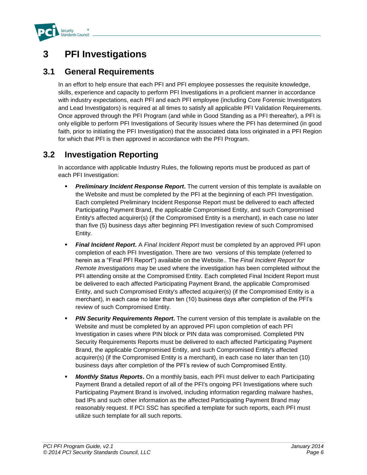

## **3 PFI Investigations**

### **3.1 General Requirements**

In an effort to help ensure that each PFI and PFI employee possesses the requisite knowledge, skills, experience and capacity to perform PFI Investigations in a proficient manner in accordance with industry expectations, each PFI and each PFI employee (including Core Forensic Investigators and Lead Investigators) is required at all times to satisfy all applicable PFI Validation Requirements. Once approved through the PFI Program (and while in Good Standing as a PFI thereafter), a PFI is only eligible to perform PFI Investigations of Security Issues where the PFI has determined (in good faith, prior to initiating the PFI Investigation) that the associated data loss originated in a PFI Region for which that PFI is then approved in accordance with the PFI Program.

### **3.2 Investigation Reporting**

In accordance with applicable Industry Rules, the following reports must be produced as part of each PFI Investigation:

- *Preliminary Incident Response Report***.** The current version of this template is available on the Website and must be completed by the PFI at the beginning of each PFI Investigation. Each completed Preliminary Incident Response Report must be delivered to each affected Participating Payment Brand, the applicable Compromised Entity, and such Compromised Entity's affected acquirer(s) (if the Compromised Entity is a merchant), in each case no later than five (5) business days after beginning PFI Investigation review of such Compromised Entity.
- *Final Incident Report***.** A *Final Incident Report* must be completed by an approved PFI upon completion of each PFI Investigation. There are two versions of this template (referred to herein as a "Final PFI Report") available on the Website.. The *Final Incident Report for Remote Investigations* may be used where the investigation has been completed without the PFI attending onsite at the Compromised Entity. Each completed Final Incident Report must be delivered to each affected Participating Payment Brand, the applicable Compromised Entity, and such Compromised Entity's affected acquirer(s) (if the Compromised Entity is a merchant), in each case no later than ten (10) business days after completion of the PFI's review of such Compromised Entity.
- **PIN Security Requirements Report.** The current version of this template is available on the Website and must be completed by an approved PFI upon completion of each PFI Investigation in cases where PIN block or PIN data was compromised. Completed PIN Security Requirements Reports must be delivered to each affected Participating Payment Brand, the applicable Compromised Entity, and such Compromised Entity's affected acquirer(s) (if the Compromised Entity is a merchant), in each case no later than ten (10) business days after completion of the PFI's review of such Compromised Entity.
- *Monthly Status Reports***.** On a monthly basis, each PFI must deliver to each Participating Payment Brand a detailed report of all of the PFI's ongoing PFI Investigations where such Participating Payment Brand is involved, including information regarding malware hashes, bad IPs and such other information as the affected Participating Payment Brand may reasonably request. If PCI SSC has specified a template for such reports, each PFI must utilize such template for all such reports.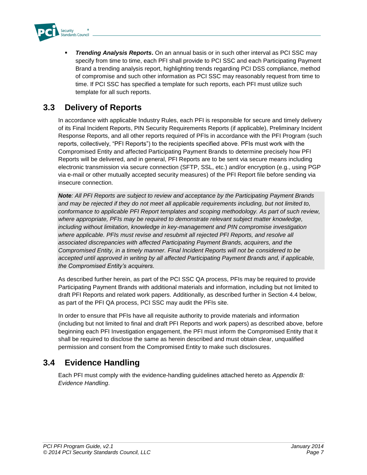

 *Trending Analysis Reports***.** On an annual basis or in such other interval as PCI SSC may specify from time to time, each PFI shall provide to PCI SSC and each Participating Payment Brand a trending analysis report, highlighting trends regarding PCI DSS compliance, method of compromise and such other information as PCI SSC may reasonably request from time to time. If PCI SSC has specified a template for such reports, each PFI must utilize such template for all such reports.

### **3.3 Delivery of Reports**

In accordance with applicable Industry Rules, each PFI is responsible for secure and timely delivery of its Final Incident Reports, PIN Security Requirements Reports (if applicable), Preliminary Incident Response Reports, and all other reports required of PFIs in accordance with the PFI Program (such reports, collectively, "PFI Reports") to the recipients specified above. PFIs must work with the Compromised Entity and affected Participating Payment Brands to determine precisely how PFI Reports will be delivered, and in general, PFI Reports are to be sent via secure means including electronic transmission via secure connection (SFTP, SSL, etc.) and/or encryption (e.g., using PGP via e-mail or other mutually accepted security measures) of the PFI Report file before sending via insecure connection.

*Note: All PFI Reports are subject to review and acceptance by the Participating Payment Brands and may be rejected if they do not meet all applicable requirements including, but not limited to, conformance to applicable PFI Report templates and scoping methodology. As part of such review, where appropriate, PFIs may be required to demonstrate relevant subject matter knowledge, including without limitation, knowledge in key-management and PIN compromise investigation*  where applicable. PFIs must revise and resubmit all rejected PFI Reports, and resolve all *associated discrepancies with affected Participating Payment Brands, acquirers, and the Compromised Entity, in a timely manner. Final Incident Reports will not be considered to be accepted until approved in writing by all affected Participating Payment Brands and, if applicable, the Compromised Entity's acquirers.*

As described further herein, as part of the PCI SSC QA process, PFIs may be required to provide Participating Payment Brands with additional materials and information, including but not limited to draft PFI Reports and related work papers. Additionally, as described further in Section 4.4 below, as part of the PFI QA process, PCI SSC may audit the PFIs site.

In order to ensure that PFIs have all requisite authority to provide materials and information (including but not limited to final and draft PFI Reports and work papers) as described above, before beginning each PFI Investigation engagement, the PFI must inform the Compromised Entity that it shall be required to disclose the same as herein described and must obtain clear, unqualified permission and consent from the Compromised Entity to make such disclosures.

### **3.4 Evidence Handling**

Each PFI must comply with the evidence-handling guidelines attached hereto as *Appendix B: Evidence Handling*.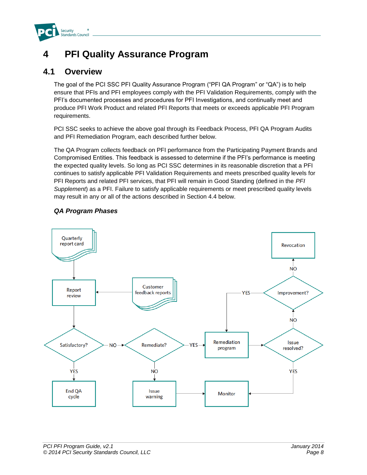

## **4 PFI Quality Assurance Program**

### **4.1 Overview**

The goal of the PCI SSC PFI Quality Assurance Program ("PFI QA Program" or "QA") is to help ensure that PFIs and PFI employees comply with the PFI Validation Requirements, comply with the PFI's documented processes and procedures for PFI Investigations, and continually meet and produce PFI Work Product and related PFI Reports that meets or exceeds applicable PFI Program requirements.

PCI SSC seeks to achieve the above goal through its Feedback Process, PFI QA Program Audits and PFI Remediation Program, each described further below.

The QA Program collects feedback on PFI performance from the Participating Payment Brands and Compromised Entities. This feedback is assessed to determine if the PFI's performance is meeting the expected quality levels. So long as PCI SSC determines in its reasonable discretion that a PFI continues to satisfy applicable PFI Validation Requirements and meets prescribed quality levels for PFI Reports and related PFI services, that PFI will remain in Good Standing (defined in the *PFI Supplement*) as a PFI. Failure to satisfy applicable requirements or meet prescribed quality levels may result in any or all of the actions described in Section 4.4 below.

#### *QA Program Phases*

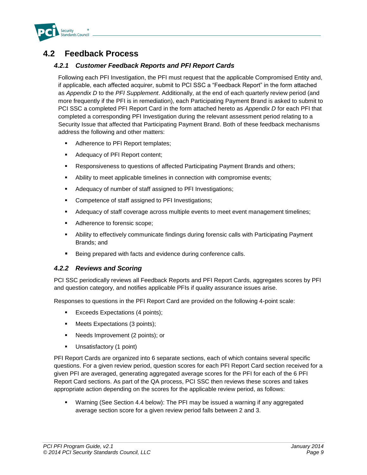

### **4.2 Feedback Process**

#### *4.2.1 Customer Feedback Reports and PFI Report Cards*

Following each PFI Investigation, the PFI must request that the applicable Compromised Entity and, if applicable, each affected acquirer, submit to PCI SSC a "Feedback Report" in the form attached as *Appendix D* to the *PFI Supplement*. Additionally, at the end of each quarterly review period (and more frequently if the PFI is in remediation), each Participating Payment Brand is asked to submit to PCI SSC a completed PFI Report Card in the form attached hereto as *Appendix D* for each PFI that completed a corresponding PFI Investigation during the relevant assessment period relating to a Security Issue that affected that Participating Payment Brand. Both of these feedback mechanisms address the following and other matters:

- Adherence to PFI Report templates;
- **Adequacy of PFI Report content;**
- Responsiveness to questions of affected Participating Payment Brands and others;
- **Ability to meet applicable timelines in connection with compromise events;**
- Adequacy of number of staff assigned to PFI Investigations;
- **•** Competence of staff assigned to PFI Investigations;
- **Adequacy of staff coverage across multiple events to meet event management timelines;**
- Adherence to forensic scope;
- Ability to effectively communicate findings during forensic calls with Participating Payment Brands; and
- Being prepared with facts and evidence during conference calls.

#### *4.2.2 Reviews and Scoring*

PCI SSC periodically reviews all Feedback Reports and PFI Report Cards, aggregates scores by PFI and question category, and notifies applicable PFIs if quality assurance issues arise.

Responses to questions in the PFI Report Card are provided on the following 4-point scale:

- Exceeds Expectations (4 points);
- **Meets Expectations (3 points);**
- Needs Improvement (2 points); or
- **Unsatisfactory (1 point)**

PFI Report Cards are organized into 6 separate sections, each of which contains several specific questions. For a given review period, question scores for each PFI Report Card section received for a given PFI are averaged, generating aggregated average scores for the PFI for each of the 6 PFI Report Card sections. As part of the QA process, PCI SSC then reviews these scores and takes appropriate action depending on the scores for the applicable review period, as follows:

 Warning (See Section 4.4 below): The PFI may be issued a warning if any aggregated average section score for a given review period falls between 2 and 3.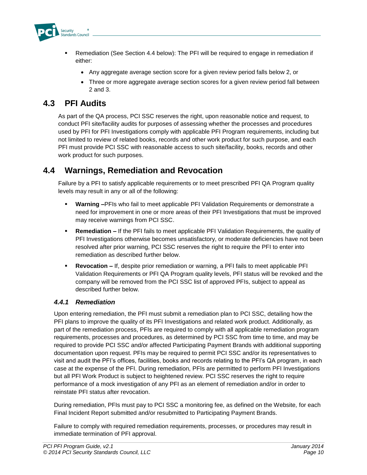

- Remediation (See Section 4.4 below): The PFI will be required to engage in remediation if either:
	- Any aggregate average section score for a given review period falls below 2, or
	- Three or more aggregate average section scores for a given review period fall between 2 and 3.

### **4.3 PFI Audits**

As part of the QA process, PCI SSC reserves the right, upon reasonable notice and request, to conduct PFI site/facility audits for purposes of assessing whether the processes and procedures used by PFI for PFI Investigations comply with applicable PFI Program requirements, including but not limited to review of related books, records and other work product for such purpose, and each PFI must provide PCI SSC with reasonable access to such site/facility, books, records and other work product for such purposes.

### **4.4 Warnings, Remediation and Revocation**

Failure by a PFI to satisfy applicable requirements or to meet prescribed PFI QA Program quality levels may result in any or all of the following:

- **Warning –**PFIs who fail to meet applicable PFI Validation Requirements or demonstrate a need for improvement in one or more areas of their PFI Investigations that must be improved may receive warnings from PCI SSC.
- **Remediation –** If the PFI fails to meet applicable PFI Validation Requirements, the quality of PFI Investigations otherwise becomes unsatisfactory, or moderate deficiencies have not been resolved after prior warning, PCI SSC reserves the right to require the PFI to enter into remediation as described further below.
- **Revocation –** If, despite prior remediation or warning, a PFI fails to meet applicable PFI Validation Requirements or PFI QA Program quality levels, PFI status will be revoked and the company will be removed from the PCI SSC list of approved PFIs, subject to appeal as described further below.

#### *4.4.1 Remediation*

Upon entering remediation, the PFI must submit a remediation plan to PCI SSC, detailing how the PFI plans to improve the quality of its PFI Investigations and related work product. Additionally, as part of the remediation process, PFIs are required to comply with all applicable remediation program requirements, processes and procedures, as determined by PCI SSC from time to time, and may be required to provide PCI SSC and/or affected Participating Payment Brands with additional supporting documentation upon request. PFIs may be required to permit PCI SSC and/or its representatives to visit and audit the PFI's offices, facilities, books and records relating to the PFI's QA program, in each case at the expense of the PFI. During remediation, PFIs are permitted to perform PFI Investigations but all PFI Work Product is subject to heightened review. PCI SSC reserves the right to require performance of a mock investigation of any PFI as an element of remediation and/or in order to reinstate PFI status after revocation.

During remediation, PFIs must pay to PCI SSC a monitoring fee, as defined on the Website*,* for each Final Incident Report submitted and/or resubmitted to Participating Payment Brands.

Failure to comply with required remediation requirements, processes, or procedures may result in immediate termination of PFI approval.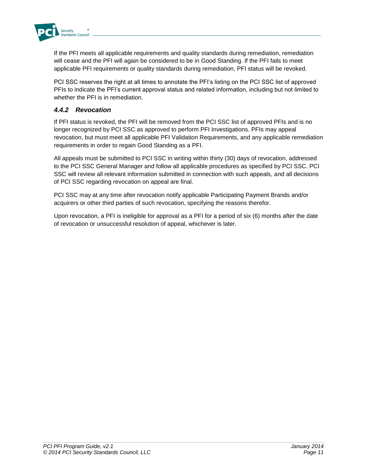

If the PFI meets all applicable requirements and quality standards during remediation, remediation will cease and the PFI will again be considered to be in Good Standing. If the PFI fails to meet applicable PFI requirements or quality standards during remediation, PFI status will be revoked.

PCI SSC reserves the right at all times to annotate the PFI's listing on the PCI SSC list of approved PFIs to indicate the PFI's current approval status and related information, including but not limited to whether the PFI is in remediation

#### *4.4.2 Revocation*

If PFI status is revoked, the PFI will be removed from the PCI SSC list of approved PFIs and is no longer recognized by PCI SSC as approved to perform PFI Investigations. PFIs may appeal revocation, but must meet all applicable PFI Validation Requirements, and any applicable remediation requirements in order to regain Good Standing as a PFI.

All appeals must be submitted to PCI SSC in writing within thirty (30) days of revocation, addressed to the PCI SSC General Manager and follow all applicable procedures as specified by PCI SSC. PCI SSC will review all relevant information submitted in connection with such appeals, and all decisions of PCI SSC regarding revocation on appeal are final.

PCI SSC may at any time after revocation notify applicable Participating Payment Brands and/or acquirers or other third parties of such revocation, specifying the reasons therefor.

Upon revocation, a PFI is ineligible for approval as a PFI for a period of six (6) months after the date of revocation or unsuccessful resolution of appeal, whichever is later.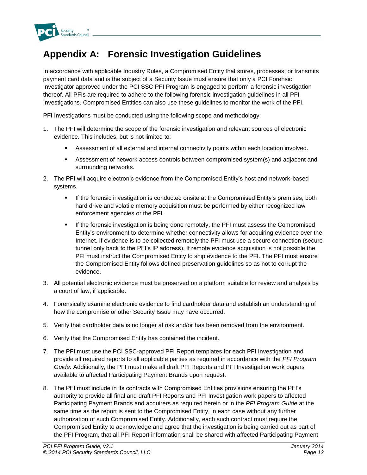

## **Appendix A: Forensic Investigation Guidelines**

In accordance with applicable Industry Rules, a Compromised Entity that stores, processes, or transmits payment card data and is the subject of a Security Issue must ensure that only a PCI Forensic Investigator approved under the PCI SSC PFI Program is engaged to perform a forensic investigation thereof. All PFIs are required to adhere to the following forensic investigation guidelines in all PFI Investigations. Compromised Entities can also use these guidelines to monitor the work of the PFI.

PFI Investigations must be conducted using the following scope and methodology:

- 1. The PFI will determine the scope of the forensic investigation and relevant sources of electronic evidence. This includes, but is not limited to:
	- Assessment of all external and internal connectivity points within each location involved.
	- Assessment of network access controls between compromised system(s) and adjacent and surrounding networks.
- 2. The PFI will acquire electronic evidence from the Compromised Entity's host and network-based systems.
	- **If the forensic investigation is conducted onsite at the Compromised Entity's premises, both** hard drive and volatile memory acquisition must be performed by either recognized law enforcement agencies or the PFI.
	- **If the forensic investigation is being done remotely, the PFI must assess the Compromised** Entity's environment to determine whether connectivity allows for acquiring evidence over the Internet. If evidence is to be collected remotely the PFI must use a secure connection (secure tunnel only back to the PFI's IP address). If remote evidence acquisition is not possible the PFI must instruct the Compromised Entity to ship evidence to the PFI. The PFI must ensure the Compromised Entity follows defined preservation guidelines so as not to corrupt the evidence.
- 3. All potential electronic evidence must be preserved on a platform suitable for review and analysis by a court of law, if applicable.
- 4. Forensically examine electronic evidence to find cardholder data and establish an understanding of how the compromise or other Security Issue may have occurred.
- 5. Verify that cardholder data is no longer at risk and/or has been removed from the environment.
- 6. Verify that the Compromised Entity has contained the incident.
- 7. The PFI must use the PCI SSC-approved PFI Report templates for each PFI Investigation and provide all required reports to all applicable parties as required in accordance with the *PFI Program Guide.* Additionally, the PFI must make all draft PFI Reports and PFI Investigation work papers available to affected Participating Payment Brands upon request.
- 8. The PFI must include in its contracts with Compromised Entities provisions ensuring the PFI's authority to provide all final and draft PFI Reports and PFI Investigation work papers to affected Participating Payment Brands and acquirers as required herein or in the *PFI Program Guide* at the same time as the report is sent to the Compromised Entity, in each case without any further authorization of such Compromised Entity. Additionally, each such contract must require the Compromised Entity to acknowledge and agree that the investigation is being carried out as part of the PFI Program, that all PFI Report information shall be shared with affected Participating Payment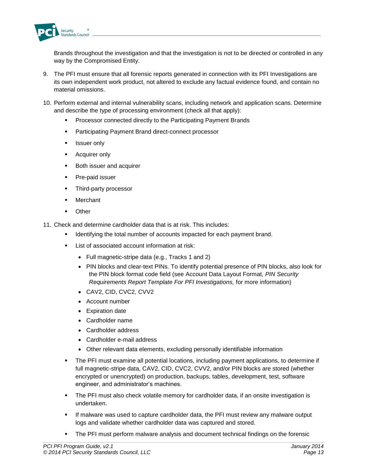

Brands throughout the investigation and that the investigation is not to be directed or controlled in any way by the Compromised Entity.

- 9. The PFI must ensure that all forensic reports generated in connection with its PFI Investigations are its own independent work product, not altered to exclude any factual evidence found, and contain no material omissions.
- 10. Perform external and internal vulnerability scans, including network and application scans. Determine and describe the type of processing environment (check all that apply):
	- Processor connected directly to the Participating Payment Brands
	- **Participating Payment Brand direct-connect processor**
	- **Issuer only**
	- **Acquirer only**
	- **Both issuer and acquirer**
	- **Pre-paid issuer**
	- **Third-party processor**
	- Merchant
	- **Other**
- 11. Check and determine cardholder data that is at risk. This includes:
	- Identifying the total number of accounts impacted for each payment brand.
	- List of associated account information at risk:
		- Full magnetic-stripe data (e.g., Tracks 1 and 2)
		- PIN blocks and clear-text PINs. To identify potential presence of PIN blocks, also look for the PIN block format code field (see Account Data Layout Format*, PIN Security Requirements Report Template For PFI Investigations,* for more information)
		- CAV2, CID, CVC2, CVV2
		- Account number
		- Expiration date
		- Cardholder name
		- Cardholder address
		- Cardholder e-mail address
		- Other relevant data elements, excluding personally identifiable information
	- The PFI must examine all potential locations, including payment applications, to determine if full magnetic-stripe data, CAV2, CID, CVC2, CVV2, and/or PIN blocks are stored (whether encrypted or unencrypted) on production, backups, tables, development, test, software engineer, and administrator's machines.
	- **The PFI must also check volatile memory for cardholder data, if an onsite investigation is** undertaken.
	- **If malware was used to capture cardholder data, the PFI must review any malware output** logs and validate whether cardholder data was captured and stored.
	- The PFI must perform malware analysis and document technical findings on the forensic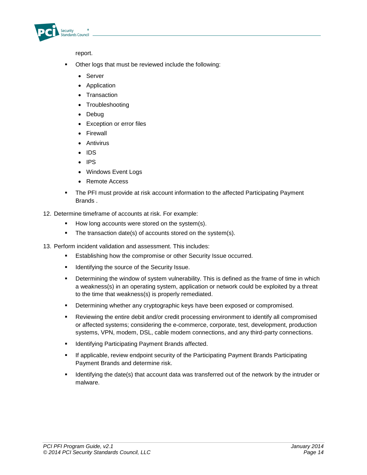

report.

- Other logs that must be reviewed include the following:
	- Server
	- Application
	- Transaction
	- Troubleshooting
	- Debug
	- Exception or error files
	- **•** Firewall
	- Antivirus
	- $\cdot$  IDS
	- $\cdot$  IPS
	- Windows Event Logs
	- Remote Access
- The PFI must provide at risk account information to the affected Participating Payment Brands .
- 12. Determine timeframe of accounts at risk. For example:
	- How long accounts were stored on the system(s).
	- The transaction date(s) of accounts stored on the system(s).
- 13. Perform incident validation and assessment. This includes:
	- **Establishing how the compromise or other Security Issue occurred.**
	- **If Identifying the source of the Security Issue.**
	- **•** Determining the window of system vulnerability. This is defined as the frame of time in which a weakness(s) in an operating system, application or network could be exploited by a threat to the time that weakness(s) is properly remediated.
	- **Determining whether any cryptographic keys have been exposed or compromised.**
	- Reviewing the entire debit and/or credit processing environment to identify all compromised or affected systems; considering the e-commerce, corporate, test, development, production systems, VPN, modem, DSL, cable modem connections, and any third-party connections.
	- **IDENTIFY IDENTIFY IS A PAYMENT PAYMENT BRANDS** affected.
	- **If applicable, review endpoint security of the Participating Payment Brands Participating** Payment Brands and determine risk.
	- **IDENT IS A THE DATE (S) THAT ACCOUNTED ASSET ASSET** interpred out of the network by the intruder or malware.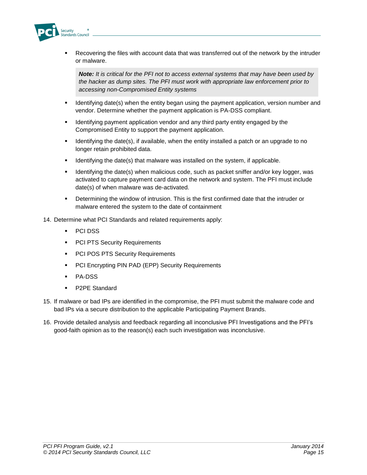

 Recovering the files with account data that was transferred out of the network by the intruder or malware.

*Note: It is critical for the PFI not to access external systems that may have been used by the hacker as dump sites. The PFI must work with appropriate law enforcement prior to accessing non-Compromised Entity systems*

- I Identifying date(s) when the entity began using the payment application, version number and vendor. Determine whether the payment application is PA-DSS compliant.
- **IDENTIFY IS A UP THE IDENT IS A UP THE INCORDED IS A UP THE ISL** wender the ldentity engaged by the Compromised Entity to support the payment application.
- **If all identifying the date(s), if available, when the entity installed a patch or an upgrade to no** longer retain prohibited data.
- Identifying the date(s) that malware was installed on the system, if applicable.
- **IDENTIFY IDENTIFY IDENTIFY IS NOTEN THE MATH IDENTIFY ASSET IS A LOCAL FOR** FOR SUPPORTHION As Identifying the date(s) when malicious code, such as packet sniffer and/or key logger, was activated to capture payment card data on the network and system. The PFI must include date(s) of when malware was de-activated.
- Determining the window of intrusion. This is the first confirmed date that the intruder or malware entered the system to the date of containment
- 14. Determine what PCI Standards and related requirements apply:
	- PCI DSS
	- **PCI PTS Security Requirements**
	- **PCI POS PTS Security Requirements**
	- **PCI Encrypting PIN PAD (EPP) Security Requirements**
	- **PA-DSS**
	- **P2PE Standard**
- 15. If malware or bad IPs are identified in the compromise, the PFI must submit the malware code and bad IPs via a secure distribution to the applicable Participating Payment Brands.
- 16. Provide detailed analysis and feedback regarding all inconclusive PFI Investigations and the PFI's good-faith opinion as to the reason(s) each such investigation was inconclusive.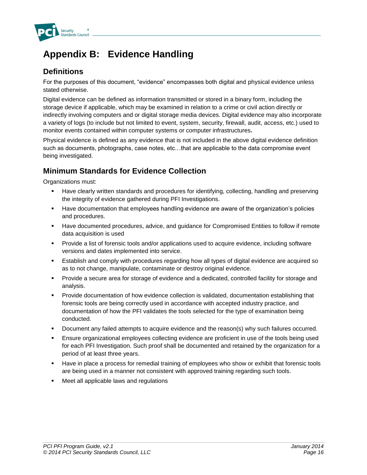

## **Appendix B: Evidence Handling**

### **Definitions**

For the purposes of this document, "evidence" encompasses both digital and physical evidence unless stated otherwise.

Digital evidence can be defined as information transmitted or stored in a binary form, including the storage device if applicable, which may be examined in relation to a crime or civil action directly or indirectly involving computers and or digital storage media devices. Digital evidence may also incorporate a variety of logs (to include but not limited to event, system, security, firewall, audit, access, etc.) used to monitor events contained within computer systems or computer infrastructures**.** 

Physical evidence is defined as any evidence that is not included in the above digital evidence definition such as documents, photographs, case notes, etc…that are applicable to the data compromise event being investigated.

### **Minimum Standards for Evidence Collection**

Organizations must:

- Have clearly written standards and procedures for identifying, collecting, handling and preserving the integrity of evidence gathered during PFI Investigations.
- Have documentation that employees handling evidence are aware of the organization's policies and procedures.
- Have documented procedures, advice, and guidance for Compromised Entities to follow if remote data acquisition is used
- **Provide a list of forensic tools and/or applications used to acquire evidence, including software** versions and dates implemented into service.
- Establish and comply with procedures regarding how all types of digital evidence are acquired so as to not change, manipulate, contaminate or destroy original evidence.
- Provide a secure area for storage of evidence and a dedicated, controlled facility for storage and analysis.
- **Provide documentation of how evidence collection is validated, documentation establishing that** forensic tools are being correctly used in accordance with accepted industry practice, and documentation of how the PFI validates the tools selected for the type of examination being conducted.
- Document any failed attempts to acquire evidence and the reason(s) why such failures occurred.
- Ensure organizational employees collecting evidence are proficient in use of the tools being used for each PFI Investigation. Such proof shall be documented and retained by the organization for a period of at least three years.
- Have in place a process for remedial training of employees who show or exhibit that forensic tools are being used in a manner not consistent with approved training regarding such tools.
- Meet all applicable laws and regulations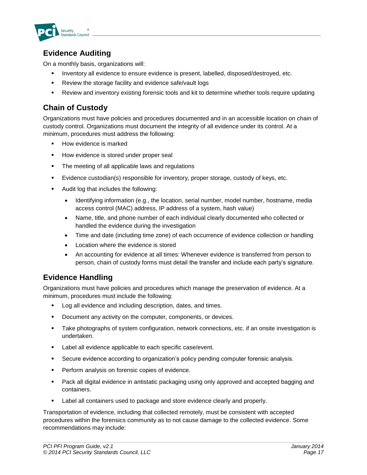

### **Evidence Auditing**

On a monthly basis, organizations will:

- **Inventory all evidence to ensure evidence is present, labelled, disposed/destroyed, etc.**
- **Review the storage facility and evidence safe/vault logs**
- Review and inventory existing forensic tools and kit to determine whether tools require updating

### **Chain of Custody**

Organizations must have policies and procedures documented and in an accessible location on chain of custody control. Organizations must document the integrity of all evidence under its control. At a minimum, procedures must address the following:

- **How evidence is marked**
- **How evidence is stored under proper seal**
- The meeting of all applicable laws and regulations
- Evidence custodian(s) responsible for inventory, proper storage, custody of keys, etc.
- **Audit log that includes the following:** 
	- Identifying information (e.g., the location, serial number, model number, hostname, media access control (MAC) address, IP address of a system, hash value)
	- Name, title, and phone number of each individual clearly documented who collected or handled the evidence during the investigation
	- Time and date (including time zone) of each occurrence of evidence collection or handling
	- Location where the evidence is stored
	- An accounting for evidence at all times: Whenever evidence is transferred from person to person, chain of custody forms must detail the transfer and include each party's signature.

#### **Evidence Handling**

Organizations must have policies and procedures which manage the preservation of evidence. At a minimum, procedures must include the following:

- **Log all evidence and including description, dates, and times.**
- Document any activity on the computer, components, or devices.
- Take photographs of system configuration, network connections, etc. if an onsite investigation is undertaken.
- **Label all evidence applicable to each specific case/event.**
- Secure evidence according to organization's policy pending computer forensic analysis.
- **Perform analysis on forensic copies of evidence.**
- Pack all digital evidence in antistatic packaging using only approved and accepted bagging and containers.
- Label all containers used to package and store evidence clearly and properly.

Transportation of evidence, including that collected remotely, must be consistent with accepted procedures within the forensics community as to not cause damage to the collected evidence. Some recommendations may include: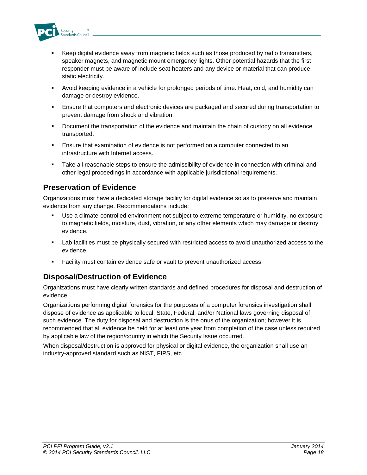

- Keep digital evidence away from magnetic fields such as those produced by radio transmitters, speaker magnets, and magnetic mount emergency lights. Other potential hazards that the first responder must be aware of include seat heaters and any device or material that can produce static electricity.
- Avoid keeping evidence in a vehicle for prolonged periods of time. Heat, cold, and humidity can damage or destroy evidence.
- **E**nsure that computers and electronic devices are packaged and secured during transportation to prevent damage from shock and vibration.
- Document the transportation of the evidence and maintain the chain of custody on all evidence transported.
- Ensure that examination of evidence is not performed on a computer connected to an infrastructure with Internet access.
- Take all reasonable steps to ensure the admissibility of evidence in connection with criminal and other legal proceedings in accordance with applicable jurisdictional requirements.

#### **Preservation of Evidence**

Organizations must have a dedicated storage facility for digital evidence so as to preserve and maintain evidence from any change. Recommendations include:

- Use a climate-controlled environment not subject to extreme temperature or humidity, no exposure to magnetic fields, moisture, dust, vibration, or any other elements which may damage or destroy evidence.
- Lab facilities must be physically secured with restricted access to avoid unauthorized access to the evidence.
- Facility must contain evidence safe or vault to prevent unauthorized access.

#### **Disposal/Destruction of Evidence**

Organizations must have clearly written standards and defined procedures for disposal and destruction of evidence.

Organizations performing digital forensics for the purposes of a computer forensics investigation shall dispose of evidence as applicable to local, State, Federal, and/or National laws governing disposal of such evidence. The duty for disposal and destruction is the onus of the organization; however it is recommended that all evidence be held for at least one year from completion of the case unless required by applicable law of the region/country in which the Security Issue occurred.

When disposal/destruction is approved for physical or digital evidence, the organization shall use an industry-approved standard such as NIST, FIPS, etc.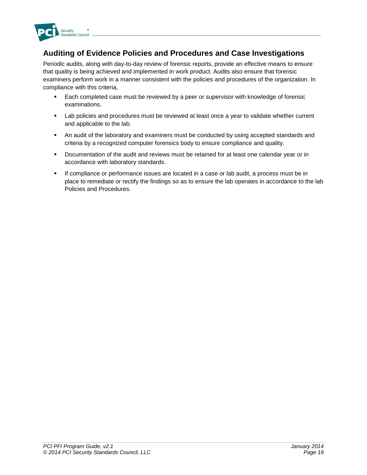

#### **Auditing of Evidence Policies and Procedures and Case Investigations**

Periodic audits, along with day-to-day review of forensic reports, provide an effective means to ensure that quality is being achieved and implemented in work product. Audits also ensure that forensic examiners perform work in a manner consistent with the policies and procedures of the organization. In compliance with this criteria,

- Each completed case must be reviewed by a peer or supervisor with knowledge of forensic examinations.
- Lab policies and procedures must be reviewed at least once a year to validate whether current and applicable to the lab.
- **An audit of the laboratory and examiners must be conducted by using accepted standards and** criteria by a recognized computer forensics body to ensure compliance and quality.
- Documentation of the audit and reviews must be retained for at least one calendar year or in accordance with laboratory standards.
- If compliance or performance issues are located in a case or lab audit, a process must be in place to remediate or rectify the findings so as to ensure the lab operates in accordance to the lab Policies and Procedures.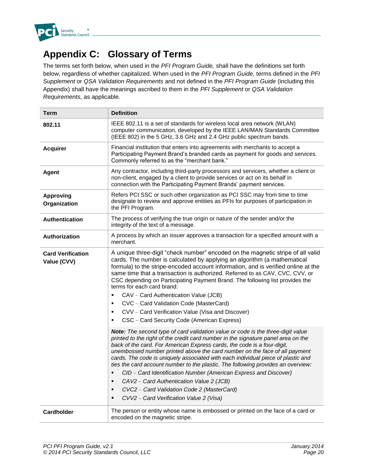

## **Appendix C: Glossary of Terms**

The terms set forth below, when used in the *PFI Program Guide,* shall have the definitions set forth below, regardless of whether capitalized. When used in the *PFI Program Guide,* terms defined in the *PFI Supplement* or *QSA Validation Requirements* and not defined in the *PFI Program Guide* (including this Appendix) shall have the meanings ascribed to them in the *PFI Supplement* or *QSA Validation Requirements,* as applicable.

| <b>Term</b>                             | <b>Definition</b>                                                                                                                                                                                                                                                                                                                                                                                                                                                                                                                                                                                                                                                                                                                  |  |
|-----------------------------------------|------------------------------------------------------------------------------------------------------------------------------------------------------------------------------------------------------------------------------------------------------------------------------------------------------------------------------------------------------------------------------------------------------------------------------------------------------------------------------------------------------------------------------------------------------------------------------------------------------------------------------------------------------------------------------------------------------------------------------------|--|
| 802.11                                  | IEEE 802.11 is a set of standards for wireless local area network (WLAN)<br>computer communication, developed by the IEEE LAN/MAN Standards Committee<br>(IEEE 802) in the 5 GHz, 3.6 GHz and 2.4 GHz public spectrum bands.                                                                                                                                                                                                                                                                                                                                                                                                                                                                                                       |  |
| <b>Acquirer</b>                         | Financial institution that enters into agreements with merchants to accept a<br>Participating Payment Brand's branded cards as payment for goods and services.<br>Commonly referred to as the "merchant bank."                                                                                                                                                                                                                                                                                                                                                                                                                                                                                                                     |  |
| <b>Agent</b>                            | Any contractor, including third-party processors and servicers, whether a client or<br>non-client, engaged by a client to provide services or act on its behalf in<br>connection with the Participating Payment Brands' payment services.                                                                                                                                                                                                                                                                                                                                                                                                                                                                                          |  |
| <b>Approving</b><br>Organization        | Refers PCI SSC or such other organization as PCI SSC may from time to time<br>designate to review and approve entities as PFIs for purposes of participation in<br>the PFI Program.                                                                                                                                                                                                                                                                                                                                                                                                                                                                                                                                                |  |
| Authentication                          | The process of verifying the true origin or nature of the sender and/or the<br>integrity of the text of a message.                                                                                                                                                                                                                                                                                                                                                                                                                                                                                                                                                                                                                 |  |
| <b>Authorization</b>                    | A process by which an issuer approves a transaction for a specified amount with a<br>merchant.                                                                                                                                                                                                                                                                                                                                                                                                                                                                                                                                                                                                                                     |  |
| <b>Card Verification</b><br>Value (CVV) | A unique three-digit "check number" encoded on the magnetic stripe of all valid<br>cards. The number is calculated by applying an algorithm (a mathematical<br>formula) to the stripe-encoded account information, and is verified online at the<br>same time that a transaction is authorized. Referred to as CAV, CVC, CVV, or<br>CSC depending on Participating Payment Brand. The following list provides the<br>terms for each card brand:<br>CAV - Card Authentication Value (JCB)<br>$\blacksquare$<br>CVC - Card Validation Code (MasterCard)<br>$\blacksquare$<br>CVV - Card Verification Value (Visa and Discover)<br>$\blacksquare$<br>CSC - Card Security Code (American Express)<br>٠                                 |  |
|                                         | Note: The second type of card validation value or code is the three-digit value<br>printed to the right of the credit card number in the signature panel area on the<br>back of the card. For American Express cards, the code is a four-digit,<br>unembossed number printed above the card number on the face of all payment<br>cards. The code is uniquely associated with each individual piece of plastic and<br>ties the card account number to the plastic. The following provides an overview:<br>CID - Card Identification Number (American Express and Discover)<br>٠<br>CAV2 - Card Authentication Value 2 (JCB)<br>٠<br>CVC2 - Card Validation Code 2 (MasterCard)<br>٠<br>CVV2 - Card Verification Value 2 (Visa)<br>п |  |
| <b>Cardholder</b>                       | The person or entity whose name is embossed or printed on the face of a card or<br>encoded on the magnetic stripe.                                                                                                                                                                                                                                                                                                                                                                                                                                                                                                                                                                                                                 |  |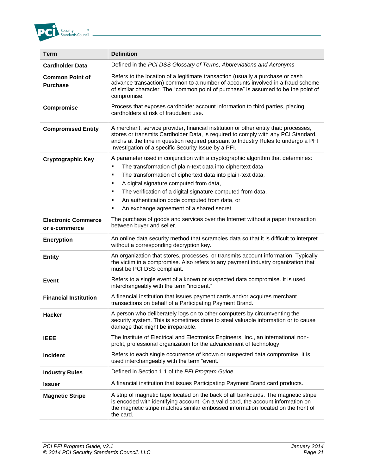

| Term                                        | <b>Definition</b>                                                                                                                                                                                                                                                                                                                                                                                                                                  |
|---------------------------------------------|----------------------------------------------------------------------------------------------------------------------------------------------------------------------------------------------------------------------------------------------------------------------------------------------------------------------------------------------------------------------------------------------------------------------------------------------------|
| <b>Cardholder Data</b>                      | Defined in the PCI DSS Glossary of Terms, Abbreviations and Acronyms                                                                                                                                                                                                                                                                                                                                                                               |
| <b>Common Point of</b><br><b>Purchase</b>   | Refers to the location of a legitimate transaction (usually a purchase or cash<br>advance transaction) common to a number of accounts involved in a fraud scheme<br>of similar character. The "common point of purchase" is assumed to be the point of<br>compromise.                                                                                                                                                                              |
| Compromise                                  | Process that exposes cardholder account information to third parties, placing<br>cardholders at risk of fraudulent use.                                                                                                                                                                                                                                                                                                                            |
| <b>Compromised Entity</b>                   | A merchant, service provider, financial institution or other entity that: processes,<br>stores or transmits Cardholder Data, is required to comply with any PCI Standard,<br>and is at the time in question required pursuant to Industry Rules to undergo a PFI<br>Investigation of a specific Security Issue by a PFI.                                                                                                                           |
| <b>Cryptographic Key</b>                    | A parameter used in conjunction with a cryptographic algorithm that determines:<br>The transformation of plain-text data into ciphertext data,<br>٠<br>The transformation of ciphertext data into plain-text data,<br>٠<br>A digital signature computed from data,<br>٠<br>The verification of a digital signature computed from data,<br>٠<br>An authentication code computed from data, or<br>٠<br>An exchange agreement of a shared secret<br>٠ |
| <b>Electronic Commerce</b><br>or e-commerce | The purchase of goods and services over the Internet without a paper transaction<br>between buyer and seller.                                                                                                                                                                                                                                                                                                                                      |
| <b>Encryption</b>                           | An online data security method that scrambles data so that it is difficult to interpret<br>without a corresponding decryption key.                                                                                                                                                                                                                                                                                                                 |
| <b>Entity</b>                               | An organization that stores, processes, or transmits account information. Typically<br>the victim in a compromise. Also refers to any payment industry organization that<br>must be PCI DSS compliant.                                                                                                                                                                                                                                             |
| <b>Event</b>                                | Refers to a single event of a known or suspected data compromise. It is used<br>interchangeably with the term "incident."                                                                                                                                                                                                                                                                                                                          |
| <b>Financial Institution</b>                | A financial institution that issues payment cards and/or acquires merchant<br>transactions on behalf of a Participating Payment Brand.                                                                                                                                                                                                                                                                                                             |
| <b>Hacker</b>                               | A person who deliberately logs on to other computers by circumventing the<br>security system. This is sometimes done to steal valuable information or to cause<br>damage that might be irreparable.                                                                                                                                                                                                                                                |
| <b>IEEE</b>                                 | The Institute of Electrical and Electronics Engineers, Inc., an international non-<br>profit, professional organization for the advancement of technology.                                                                                                                                                                                                                                                                                         |
| <b>Incident</b>                             | Refers to each single occurrence of known or suspected data compromise. It is<br>used interchangeably with the term "event."                                                                                                                                                                                                                                                                                                                       |
| <b>Industry Rules</b>                       | Defined in Section 1.1 of the PFI Program Guide.                                                                                                                                                                                                                                                                                                                                                                                                   |
| <b>Issuer</b>                               | A financial institution that issues Participating Payment Brand card products.                                                                                                                                                                                                                                                                                                                                                                     |
| <b>Magnetic Stripe</b>                      | A strip of magnetic tape located on the back of all bankcards. The magnetic stripe<br>is encoded with identifying account. On a valid card, the account information on<br>the magnetic stripe matches similar embossed information located on the front of<br>the card.                                                                                                                                                                            |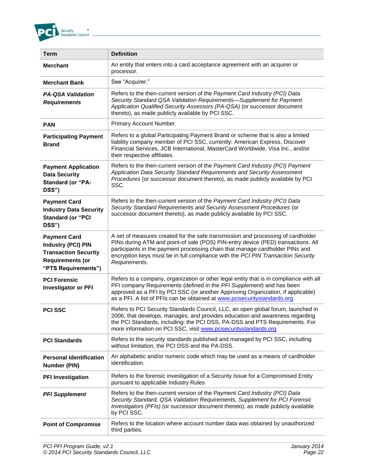

| <b>Term</b>                                                                                                                       | <b>Definition</b>                                                                                                                                                                                                                                                                                                                                         |
|-----------------------------------------------------------------------------------------------------------------------------------|-----------------------------------------------------------------------------------------------------------------------------------------------------------------------------------------------------------------------------------------------------------------------------------------------------------------------------------------------------------|
| <b>Merchant</b>                                                                                                                   | An entity that enters into a card acceptance agreement with an acquirer or<br>processor.                                                                                                                                                                                                                                                                  |
| <b>Merchant Bank</b>                                                                                                              | See "Acquirer."                                                                                                                                                                                                                                                                                                                                           |
| <b>PA-QSA Validation</b><br><b>Requirements</b>                                                                                   | Refers to the then-current version of the Payment Card Industry (PCI) Data<br>Security Standard QSA Validation Requirements-Supplement for Payment<br>Application Qualified Security Assessors (PA-QSA) (or successor document<br>thereto), as made publicly available by PCI SSC.                                                                        |
| <b>PAN</b>                                                                                                                        | Primary Account Number.                                                                                                                                                                                                                                                                                                                                   |
| <b>Participating Payment</b><br><b>Brand</b>                                                                                      | Refers to a global Participating Payment Brand or scheme that is also a limited<br>liability company member of PCI SSC, currently: American Express, Discover<br>Financial Services, JCB International, MasterCard Worldwide, Visa Inc., and/or<br>their respective affiliates.                                                                           |
| <b>Payment Application</b><br><b>Data Security</b><br><b>Standard (or "PA-</b><br>DSS")                                           | Refers to the then-current version of the Payment Card Industry (PCI) Payment<br>Application Data Security Standard Requirements and Security Assessment<br>Procedures (or successor document thereto), as made publicly available by PCI<br>SSC.                                                                                                         |
| <b>Payment Card</b><br><b>Industry Data Security</b><br><b>Standard (or "PCI</b><br>DSS")                                         | Refers to the then-current version of the Payment Card Industry (PCI) Data<br>Security Standard Requirements and Security Assessment Procedures (or<br>successor document thereto), as made publicly available by PCI SSC.                                                                                                                                |
| <b>Payment Card</b><br><b>Industry (PCI) PIN</b><br><b>Transaction Security</b><br><b>Requirements (or</b><br>"PTS Requirements") | A set of measures created for the safe transmission and processing of cardholder<br>PINs during ATM and point-of sale (POS) PIN-entry device (PED) transactions. All<br>participants in the payment processing chain that manage cardholder PINs and<br>encryption keys must be in full compliance with the PCI PIN Transaction Security<br>Requirements. |
| <b>PCI Forensic</b><br><b>Investigator or PFI</b>                                                                                 | Refers to a company, organization or other legal entity that is in compliance with all<br>PFI company Requirements (defined in the PFI Supplement) and has been<br>approved as a PFI by PCI SSC (or another Approving Organization, if applicable)<br>as a PFI. A list of PFIs can be obtained at www.pcisecuritystandards.org                            |
| <b>PCI SSC</b>                                                                                                                    | Refers to PCI Security Standards Council, LLC, an open global forum, launched in<br>2006, that develops, manages, and provides education and awareness regarding<br>the PCI Standards, including: the PCI DSS, PA-DSS and PTS Requirements. For<br>more information on PCI SSC, visit www.pcisecuritystandards.org                                        |
| <b>PCI Standards</b>                                                                                                              | Refers to the security standards published and managed by PCI SSC, including<br>without limitation, the PCI DSS and the PA-DSS.                                                                                                                                                                                                                           |
| <b>Personal Identification</b><br><b>Number (PIN)</b>                                                                             | An alphabetic and/or numeric code which may be used as a means of cardholder<br>identification.                                                                                                                                                                                                                                                           |
| <b>PFI Investigation</b>                                                                                                          | Refers to the forensic investigation of a Security Issue for a Compromised Entity<br>pursuant to applicable Industry Rules                                                                                                                                                                                                                                |
| <b>PFI Supplement</b>                                                                                                             | Refers to the then-current version of the Payment Card Industry (PCI) Data<br>Security Standard, QSA Validation Requirements, Supplement for PCI Forensic<br>Investigators (PFIs) (or successor document thereto), as made publicly available<br>by PCI SSC.                                                                                              |
| <b>Point of Compromise</b>                                                                                                        | Refers to the location where account number data was obtained by unauthorized<br>third parties.                                                                                                                                                                                                                                                           |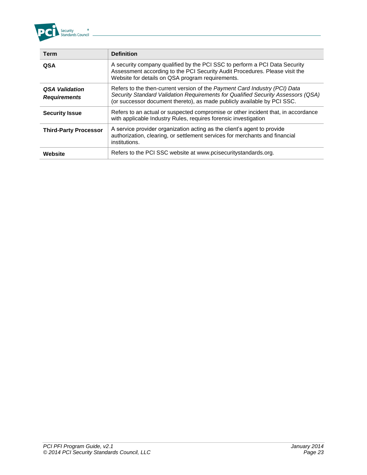

| <b>Term</b>                                  | <b>Definition</b>                                                                                                                                                                                                                         |
|----------------------------------------------|-------------------------------------------------------------------------------------------------------------------------------------------------------------------------------------------------------------------------------------------|
| <b>QSA</b>                                   | A security company qualified by the PCI SSC to perform a PCI Data Security<br>Assessment according to the PCI Security Audit Procedures. Please visit the<br>Website for details on QSA program requirements.                             |
| <b>QSA Validation</b><br><b>Requirements</b> | Refers to the then-current version of the Payment Card Industry (PCI) Data<br>Security Standard Validation Requirements for Qualified Security Assessors (QSA)<br>(or successor document thereto), as made publicly available by PCI SSC. |
| <b>Security Issue</b>                        | Refers to an actual or suspected compromise or other incident that, in accordance<br>with applicable Industry Rules, requires forensic investigation                                                                                      |
| <b>Third-Party Processor</b>                 | A service provider organization acting as the client's agent to provide<br>authorization, clearing, or settlement services for merchants and financial<br>institutions.                                                                   |
| Website                                      | Refers to the PCI SSC website at www.pcisecuritystandards.org.                                                                                                                                                                            |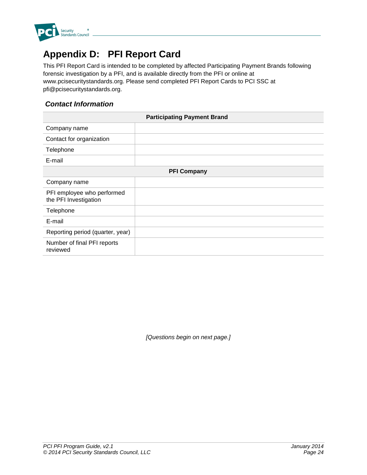

## **Appendix D: PFI Report Card**

This PFI Report Card is intended to be completed by affected Participating Payment Brands following forensic investigation by a PFI, and is available directly from the PFI or online at www.pcisecuritystandards.org. Please send completed PFI Report Cards to PCI SSC at pfi@pcisecuritystandards.org.

#### *Contact Information*

|                                                     | <b>Participating Payment Brand</b> |  |
|-----------------------------------------------------|------------------------------------|--|
| Company name                                        |                                    |  |
| Contact for organization                            |                                    |  |
| Telephone                                           |                                    |  |
| E-mail                                              |                                    |  |
| <b>PFI Company</b>                                  |                                    |  |
| Company name                                        |                                    |  |
| PFI employee who performed<br>the PFI Investigation |                                    |  |
| Telephone                                           |                                    |  |
| E-mail                                              |                                    |  |
| Reporting period (quarter, year)                    |                                    |  |
| Number of final PFI reports<br>reviewed             |                                    |  |

*[Questions begin on next page.]*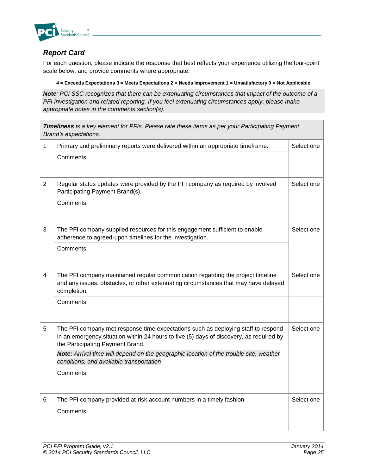

#### *Report Card*

For each question, please indicate the response that best reflects your experience utilizing the four-point scale below, and provide comments where appropriate:

#### **4 = Exceeds Expectations 3 = Meets Expectations 2 = Needs Improvement 1 = Unsatisfactory 0 = Not Applicable**

*Note: PCI SSC recognizes that there can be extenuating circumstances that impact of the outcome of a PFI Investigation and related reporting. If you feel extenuating circumstances apply, please make appropriate notes in the comments section(s).*

|                | Timeliness is a key element for PFIs. Please rate these items as per your Participating Payment<br>Brand's expectations.                                                                                         |            |  |
|----------------|------------------------------------------------------------------------------------------------------------------------------------------------------------------------------------------------------------------|------------|--|
| 1              | Primary and preliminary reports were delivered within an appropriate timeframe.                                                                                                                                  | Select one |  |
|                | Comments:                                                                                                                                                                                                        |            |  |
| $\overline{2}$ | Regular status updates were provided by the PFI company as required by involved<br>Participating Payment Brand(s).                                                                                               | Select one |  |
|                | Comments:                                                                                                                                                                                                        |            |  |
| 3              | The PFI company supplied resources for this engagement sufficient to enable<br>adherence to agreed-upon timelines for the investigation.                                                                         | Select one |  |
|                | Comments:                                                                                                                                                                                                        |            |  |
| 4              | The PFI company maintained regular communication regarding the project timeline<br>and any issues, obstacles, or other extenuating circumstances that may have delayed<br>completion.                            | Select one |  |
|                | Comments:                                                                                                                                                                                                        |            |  |
| 5              | The PFI company met response time expectations such as deploying staff to respond<br>in an emergency situation within 24 hours to five (5) days of discovery, as required by<br>the Participating Payment Brand. | Select one |  |
|                | Note: Arrival time will depend on the geographic location of the trouble site, weather<br>conditions, and available transportation                                                                               |            |  |
|                | Comments:                                                                                                                                                                                                        |            |  |
| 6              | The PFI company provided at-risk account numbers in a timely fashion.                                                                                                                                            | Select one |  |
|                | Comments:                                                                                                                                                                                                        |            |  |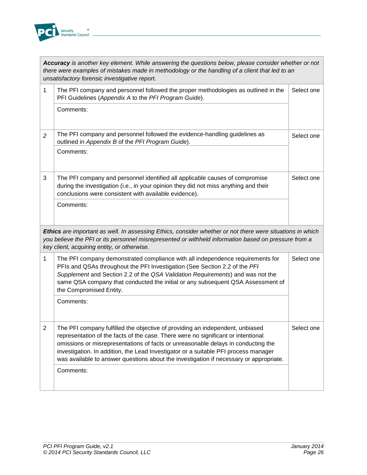

|                | Accuracy is another key element. While answering the questions below, please consider whether or not<br>there were examples of mistakes made in methodology or the handling of a client that led to an<br>unsatisfactory forensic investigative report.                                                                                                                                                                                  |            |
|----------------|------------------------------------------------------------------------------------------------------------------------------------------------------------------------------------------------------------------------------------------------------------------------------------------------------------------------------------------------------------------------------------------------------------------------------------------|------------|
| 1              | The PFI company and personnel followed the proper methodologies as outlined in the<br>PFI Guidelines (Appendix A to the PFI Program Guide).                                                                                                                                                                                                                                                                                              | Select one |
|                | Comments:                                                                                                                                                                                                                                                                                                                                                                                                                                |            |
| 2              | The PFI company and personnel followed the evidence-handling guidelines as<br>outlined in Appendix B of the PFI Program Guide).                                                                                                                                                                                                                                                                                                          | Select one |
|                | Comments:                                                                                                                                                                                                                                                                                                                                                                                                                                |            |
| 3              | The PFI company and personnel identified all applicable causes of compromise<br>during the investigation (i.e., in your opinion they did not miss anything and their<br>conclusions were consistent with available evidence).                                                                                                                                                                                                            | Select one |
|                | Comments:                                                                                                                                                                                                                                                                                                                                                                                                                                |            |
|                | Ethics are important as well. In assessing Ethics, consider whether or not there were situations in which<br>you believe the PFI or its personnel misrepresented or withheld information based on pressure from a<br>key client, acquiring entity, or otherwise.                                                                                                                                                                         |            |
| 1              | The PFI company demonstrated compliance with all independence requirements for<br>PFIs and QSAs throughout the PFI Investigation (See Section 2.2 of the PFI<br>Supplement and Section 2.2 of the QSA Validation Requirements) and was not the<br>same QSA company that conducted the initial or any subsequent QSA Assessment of<br>the Compromised Entity.                                                                             | Select one |
|                | Comments:                                                                                                                                                                                                                                                                                                                                                                                                                                |            |
| $\overline{2}$ | The PFI company fulfilled the objective of providing an independent, unbiased<br>representation of the facts of the case. There were no significant or intentional<br>omissions or misrepresentations of facts or unreasonable delays in conducting the<br>investigation. In addition, the Lead Investigator or a suitable PFI process manager<br>was available to answer questions about the investigation if necessary or appropriate. | Select one |
|                | Comments:                                                                                                                                                                                                                                                                                                                                                                                                                                |            |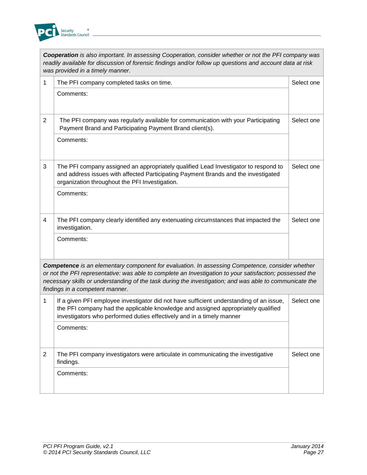

|                | Cooperation is also important. In assessing Cooperation, consider whether or not the PFI company was<br>readily available for discussion of forensic findings and/or follow up questions and account data at risk<br>was provided in a timely manner.                                                                                                            |            |
|----------------|------------------------------------------------------------------------------------------------------------------------------------------------------------------------------------------------------------------------------------------------------------------------------------------------------------------------------------------------------------------|------------|
| 1              | The PFI company completed tasks on time.                                                                                                                                                                                                                                                                                                                         | Select one |
|                | Comments:                                                                                                                                                                                                                                                                                                                                                        |            |
| $\overline{2}$ | The PFI company was regularly available for communication with your Participating<br>Payment Brand and Participating Payment Brand client(s).                                                                                                                                                                                                                    | Select one |
|                | Comments:                                                                                                                                                                                                                                                                                                                                                        |            |
| 3              | The PFI company assigned an appropriately qualified Lead Investigator to respond to<br>and address issues with affected Participating Payment Brands and the investigated<br>organization throughout the PFI Investigation.                                                                                                                                      | Select one |
|                | Comments:                                                                                                                                                                                                                                                                                                                                                        |            |
| 4              | The PFI company clearly identified any extenuating circumstances that impacted the<br>investigation.                                                                                                                                                                                                                                                             | Select one |
|                | Comments:                                                                                                                                                                                                                                                                                                                                                        |            |
|                | <b>Competence</b> is an elementary component for evaluation. In assessing Competence, consider whether<br>or not the PFI representative: was able to complete an Investigation to your satisfaction; possessed the<br>necessary skills or understanding of the task during the investigation; and was able to communicate the<br>findings in a competent manner. |            |
| 1              | If a given PFI employee investigator did not have sufficient understanding of an issue,<br>the PFI company had the applicable knowledge and assigned appropriately qualified<br>investigators who performed duties effectively and in a timely manner                                                                                                            | Select one |
|                | Comments:                                                                                                                                                                                                                                                                                                                                                        |            |
| $\overline{2}$ | The PFI company investigators were articulate in communicating the investigative<br>findings.                                                                                                                                                                                                                                                                    | Select one |
|                | Comments:                                                                                                                                                                                                                                                                                                                                                        |            |